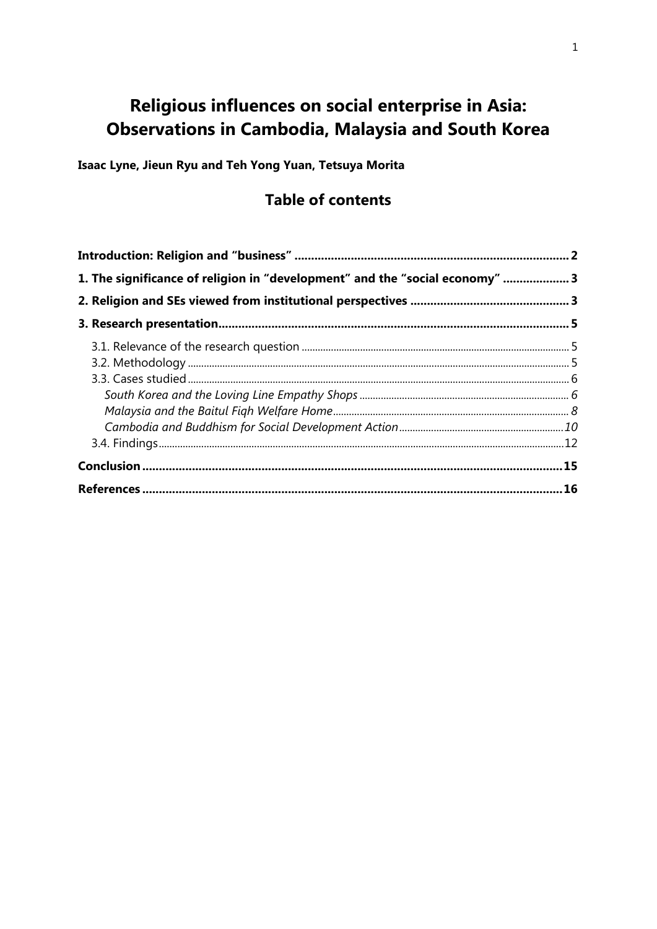# Religious influences on social enterprise in Asia: **Observations in Cambodia, Malaysia and South Korea**

Isaac Lyne, Jieun Ryu and Teh Yong Yuan, Tetsuya Morita

## **Table of contents**

| 1. The significance of religion in "development" and the "social economy"  3 |  |
|------------------------------------------------------------------------------|--|
|                                                                              |  |
|                                                                              |  |
|                                                                              |  |
|                                                                              |  |
|                                                                              |  |
|                                                                              |  |
|                                                                              |  |
|                                                                              |  |
|                                                                              |  |
|                                                                              |  |
|                                                                              |  |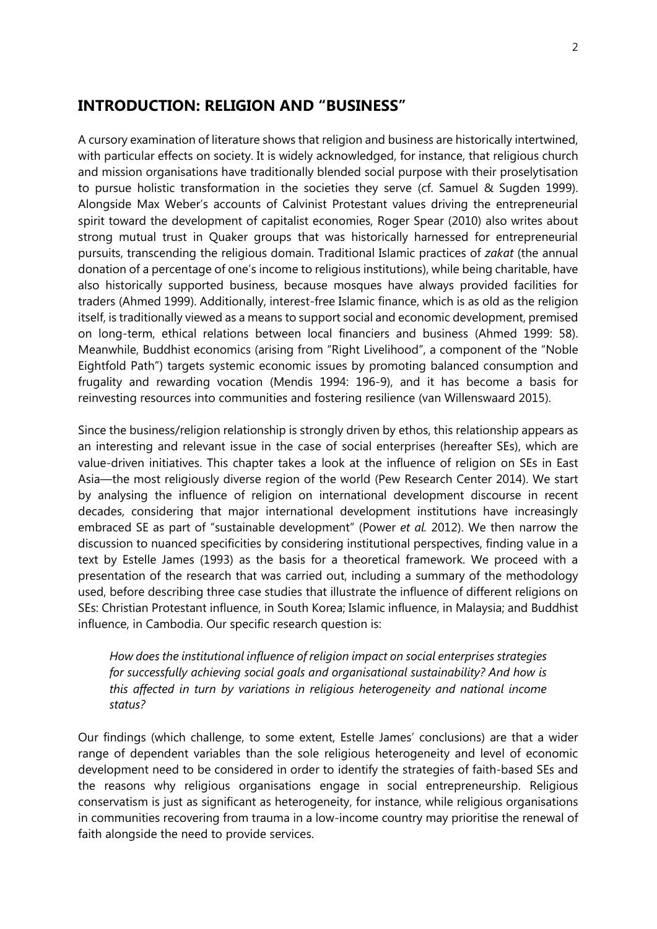#### <span id="page-1-0"></span>**INTRODUCTION: RELIGION AND "BUSINESS"**

A cursory examination of literature shows that religion and business are historically intertwined, with particular effects on society. It is widely acknowledged, for instance, that religious church and mission organisations have traditionally blended social purpose with their proselytisation to pursue holistic transformation in the societies they serve (cf. Samuel & Sugden 1999). Alongside Max Weber's accounts of Calvinist Protestant values driving the entrepreneurial spirit toward the development of capitalist economies, Roger Spear (2010) also writes about strong mutual trust in Quaker groups that was historically harnessed for entrepreneurial pursuits, transcending the religious domain. Traditional Islamic practices of *zakat* (the annual donation of a percentage of one's income to religious institutions), while being charitable, have also historically supported business, because mosques have always provided facilities for traders (Ahmed 1999). Additionally, interest-free Islamic finance, which is as old as the religion itself, is traditionally viewed as a means to support social and economic development, premised on long-term, ethical relations between local financiers and business (Ahmed 1999: 58). Meanwhile, Buddhist economics (arising from "Right Livelihood", a component of the "Noble Eightfold Path") targets systemic economic issues by promoting balanced consumption and frugality and rewarding vocation (Mendis 1994: 196-9), and it has become a basis for reinvesting resources into communities and fostering resilience (van Willenswaard 2015).

Since the business/religion relationship is strongly driven by ethos, this relationship appears as an interesting and relevant issue in the case of social enterprises (hereafter SEs), which are value-driven initiatives. This chapter takes a look at the influence of religion on SEs in East Asia—the most religiously diverse region of the world (Pew Research Center 2014). We start by analysing the influence of religion on international development discourse in recent decades, considering that major international development institutions have increasingly embraced SE as part of "sustainable development" (Power *et al.* 2012). We then narrow the discussion to nuanced specificities by considering institutional perspectives, finding value in a text by Estelle James (1993) as the basis for a theoretical framework. We proceed with a presentation of the research that was carried out, including a summary of the methodology used, before describing three case studies that illustrate the influence of different religions on SEs: Christian Protestant influence, in South Korea; Islamic influence, in Malaysia; and Buddhist influence, in Cambodia. Our specific research question is:

*How does the institutional influence of religion impact on social enterprises strategies for successfully achieving social goals and organisational sustainability? And how is this affected in turn by variations in religious heterogeneity and national income status?*

Our findings (which challenge, to some extent, Estelle James' conclusions) are that a wider range of dependent variables than the sole religious heterogeneity and level of economic development need to be considered in order to identify the strategies of faith-based SEs and the reasons why religious organisations engage in social entrepreneurship. Religious conservatism is just as significant as heterogeneity, for instance, while religious organisations in communities recovering from trauma in a low-income country may prioritise the renewal of faith alongside the need to provide services.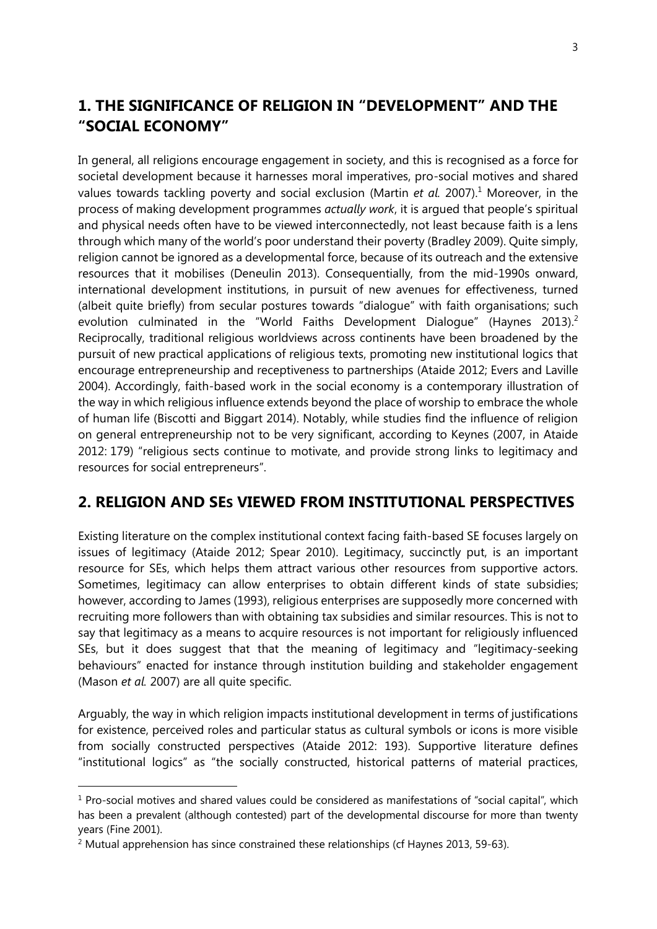## <span id="page-2-0"></span>**1. THE SIGNIFICANCE OF RELIGION IN "DEVELOPMENT" AND THE "SOCIAL ECONOMY"**

In general, all religions encourage engagement in society, and this is recognised as a force for societal development because it harnesses moral imperatives, pro-social motives and shared values towards tackling poverty and social exclusion (Martin *et al.* 2007). <sup>1</sup> Moreover, in the process of making development programmes *actually work*, it is argued that people's spiritual and physical needs often have to be viewed interconnectedly, not least because faith is a lens through which many of the world's poor understand their poverty (Bradley 2009). Quite simply, religion cannot be ignored as a developmental force, because of its outreach and the extensive resources that it mobilises (Deneulin 2013). Consequentially, from the mid-1990s onward, international development institutions, in pursuit of new avenues for effectiveness, turned (albeit quite briefly) from secular postures towards "dialogue" with faith organisations; such evolution culminated in the "World Faiths Development Dialogue" (Haynes 2013).<sup>2</sup> Reciprocally, traditional religious worldviews across continents have been broadened by the pursuit of new practical applications of religious texts, promoting new institutional logics that encourage entrepreneurship and receptiveness to partnerships (Ataide 2012; Evers and Laville 2004). Accordingly, faith-based work in the social economy is a contemporary illustration of the way in which religious influence extends beyond the place of worship to embrace the whole of human life (Biscotti and Biggart 2014). Notably, while studies find the influence of religion on general entrepreneurship not to be very significant, according to Keynes (2007, in Ataide 2012: 179) "religious sects continue to motivate, and provide strong links to legitimacy and resources for social entrepreneurs".

### <span id="page-2-1"></span>**2. RELIGION AND SES VIEWED FROM INSTITUTIONAL PERSPECTIVES**

Existing literature on the complex institutional context facing faith-based SE focuses largely on issues of legitimacy (Ataide 2012; Spear 2010). Legitimacy, succinctly put, is an important resource for SEs, which helps them attract various other resources from supportive actors. Sometimes, legitimacy can allow enterprises to obtain different kinds of state subsidies; however, according to James (1993), religious enterprises are supposedly more concerned with recruiting more followers than with obtaining tax subsidies and similar resources. This is not to say that legitimacy as a means to acquire resources is not important for religiously influenced SEs, but it does suggest that that the meaning of legitimacy and "legitimacy-seeking behaviours" enacted for instance through institution building and stakeholder engagement (Mason *et al.* 2007) are all quite specific.

Arguably, the way in which religion impacts institutional development in terms of justifications for existence, perceived roles and particular status as cultural symbols or icons is more visible from socially constructed perspectives (Ataide 2012: 193). Supportive literature defines "institutional logics" as "the socially constructed, historical patterns of material practices,

<sup>&</sup>lt;sup>1</sup> Pro-social motives and shared values could be considered as manifestations of "social capital", which has been a prevalent (although contested) part of the developmental discourse for more than twenty years (Fine 2001).

<sup>&</sup>lt;sup>2</sup> Mutual apprehension has since constrained these relationships (cf Haynes 2013, 59-63).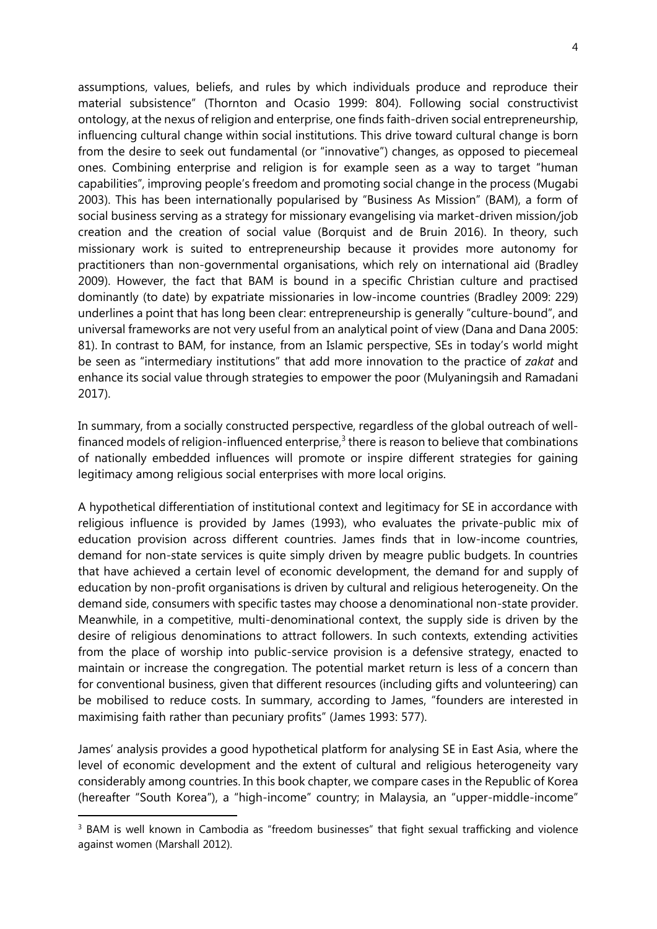4

assumptions, values, beliefs, and rules by which individuals produce and reproduce their material subsistence" (Thornton and Ocasio 1999: 804). Following social constructivist ontology, at the nexus of religion and enterprise, one finds faith-driven social entrepreneurship, influencing cultural change within social institutions. This drive toward cultural change is born from the desire to seek out fundamental (or "innovative") changes, as opposed to piecemeal ones. Combining enterprise and religion is for example seen as a way to target "human capabilities", improving people's freedom and promoting social change in the process (Mugabi 2003). This has been internationally popularised by "Business As Mission" (BAM), a form of social business serving as a strategy for missionary evangelising via market-driven mission/job creation and the creation of social value (Borquist and de Bruin 2016). In theory, such missionary work is suited to entrepreneurship because it provides more autonomy for practitioners than non-governmental organisations, which rely on international aid (Bradley 2009). However, the fact that BAM is bound in a specific Christian culture and practised dominantly (to date) by expatriate missionaries in low-income countries (Bradley 2009: 229) underlines a point that has long been clear: entrepreneurship is generally "culture-bound", and universal frameworks are not very useful from an analytical point of view (Dana and Dana 2005: 81). In contrast to BAM, for instance, from an Islamic perspective, SEs in today's world might be seen as "intermediary institutions" that add more innovation to the practice of *zakat* and enhance its social value through strategies to empower the poor (Mulyaningsih and Ramadani 2017).

In summary, from a socially constructed perspective, regardless of the global outreach of wellfinanced models of religion-influenced enterprise, $3$  there is reason to believe that combinations of nationally embedded influences will promote or inspire different strategies for gaining legitimacy among religious social enterprises with more local origins.

A hypothetical differentiation of institutional context and legitimacy for SE in accordance with religious influence is provided by James (1993), who evaluates the private-public mix of education provision across different countries. James finds that in low-income countries, demand for non-state services is quite simply driven by meagre public budgets. In countries that have achieved a certain level of economic development, the demand for and supply of education by non-profit organisations is driven by cultural and religious heterogeneity. On the demand side, consumers with specific tastes may choose a denominational non-state provider. Meanwhile, in a competitive, multi-denominational context, the supply side is driven by the desire of religious denominations to attract followers. In such contexts, extending activities from the place of worship into public-service provision is a defensive strategy, enacted to maintain or increase the congregation. The potential market return is less of a concern than for conventional business, given that different resources (including gifts and volunteering) can be mobilised to reduce costs. In summary, according to James, "founders are interested in maximising faith rather than pecuniary profits" (James 1993: 577).

James' analysis provides a good hypothetical platform for analysing SE in East Asia, where the level of economic development and the extent of cultural and religious heterogeneity vary considerably among countries. In this book chapter, we compare cases in the Republic of Korea (hereafter "South Korea"), a "high-income" country; in Malaysia, an "upper-middle-income"

<sup>&</sup>lt;sup>3</sup> BAM is well known in Cambodia as "freedom businesses" that fight sexual trafficking and violence against women (Marshall 2012).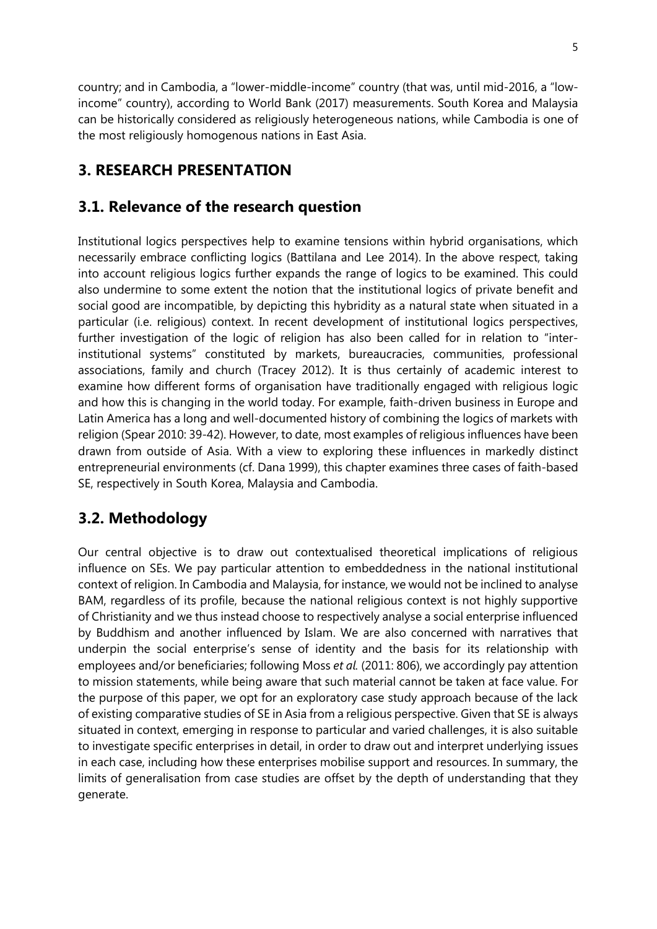country; and in Cambodia, a "lower-middle-income" country (that was, until mid-2016, a "lowincome" country), according to World Bank (2017) measurements. South Korea and Malaysia can be historically considered as religiously heterogeneous nations, while Cambodia is one of the most religiously homogenous nations in East Asia.

## <span id="page-4-0"></span>**3. RESEARCH PRESENTATION**

### <span id="page-4-1"></span>**3.1. Relevance of the research question**

Institutional logics perspectives help to examine tensions within hybrid organisations, which necessarily embrace conflicting logics (Battilana and Lee 2014). In the above respect, taking into account religious logics further expands the range of logics to be examined. This could also undermine to some extent the notion that the institutional logics of private benefit and social good are incompatible, by depicting this hybridity as a natural state when situated in a particular (i.e. religious) context. In recent development of institutional logics perspectives, further investigation of the logic of religion has also been called for in relation to "interinstitutional systems" constituted by markets, bureaucracies, communities, professional associations, family and church (Tracey 2012). It is thus certainly of academic interest to examine how different forms of organisation have traditionally engaged with religious logic and how this is changing in the world today. For example, faith-driven business in Europe and Latin America has a long and well-documented history of combining the logics of markets with religion (Spear 2010: 39-42). However, to date, most examples of religious influences have been drawn from outside of Asia. With a view to exploring these influences in markedly distinct entrepreneurial environments (cf. Dana 1999), this chapter examines three cases of faith-based SE, respectively in South Korea, Malaysia and Cambodia.

## <span id="page-4-2"></span>**3.2. Methodology**

Our central objective is to draw out contextualised theoretical implications of religious influence on SEs. We pay particular attention to embeddedness in the national institutional context of religion. In Cambodia and Malaysia, for instance, we would not be inclined to analyse BAM, regardless of its profile, because the national religious context is not highly supportive of Christianity and we thus instead choose to respectively analyse a social enterprise influenced by Buddhism and another influenced by Islam. We are also concerned with narratives that underpin the social enterprise's sense of identity and the basis for its relationship with employees and/or beneficiaries; following Moss *et al.* (2011: 806), we accordingly pay attention to mission statements, while being aware that such material cannot be taken at face value. For the purpose of this paper, we opt for an exploratory case study approach because of the lack of existing comparative studies of SE in Asia from a religious perspective. Given that SE is always situated in context, emerging in response to particular and varied challenges, it is also suitable to investigate specific enterprises in detail, in order to draw out and interpret underlying issues in each case, including how these enterprises mobilise support and resources. In summary, the limits of generalisation from case studies are offset by the depth of understanding that they generate.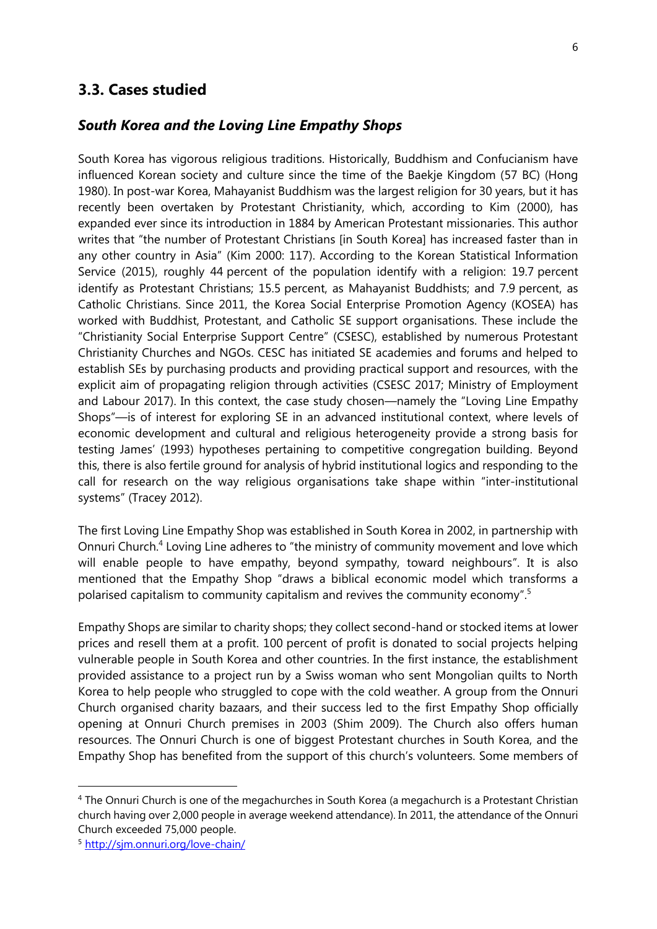#### <span id="page-5-0"></span>**3.3. Cases studied**

#### <span id="page-5-1"></span>*South Korea and the Loving Line Empathy Shops*

South Korea has vigorous religious traditions. Historically, Buddhism and Confucianism have influenced Korean society and culture since the time of the Baekje Kingdom (57 BC) (Hong 1980). In post-war Korea, Mahayanist Buddhism was the largest religion for 30 years, but it has recently been overtaken by Protestant Christianity, which, according to Kim (2000), has expanded ever since its introduction in 1884 by American Protestant missionaries. This author writes that "the number of Protestant Christians [in South Korea] has increased faster than in any other country in Asia" (Kim 2000: 117). According to the Korean Statistical Information Service (2015), roughly 44 percent of the population identify with a religion: 19.7 percent identify as Protestant Christians; 15.5 percent, as Mahayanist Buddhists; and 7.9 percent, as Catholic Christians. Since 2011, the Korea Social Enterprise Promotion Agency (KOSEA) has worked with Buddhist, Protestant, and Catholic SE support organisations. These include the "Christianity Social Enterprise Support Centre" (CSESC), established by numerous Protestant Christianity Churches and NGOs. CESC has initiated SE academies and forums and helped to establish SEs by purchasing products and providing practical support and resources, with the explicit aim of propagating religion through activities (CSESC 2017; Ministry of Employment and Labour 2017). In this context, the case study chosen—namely the "Loving Line Empathy Shops"—is of interest for exploring SE in an advanced institutional context, where levels of economic development and cultural and religious heterogeneity provide a strong basis for testing James' (1993) hypotheses pertaining to competitive congregation building. Beyond this, there is also fertile ground for analysis of hybrid institutional logics and responding to the call for research on the way religious organisations take shape within "inter-institutional systems" (Tracey 2012).

The first Loving Line Empathy Shop was established in South Korea in 2002, in partnership with Onnuri Church.<sup>4</sup> Loving Line adheres to "the ministry of community movement and love which will enable people to have empathy, beyond sympathy, toward neighbours". It is also mentioned that the Empathy Shop "draws a biblical economic model which transforms a polarised capitalism to community capitalism and revives the community economy".<sup>5</sup>

Empathy Shops are similar to charity shops; they collect second-hand or stocked items at lower prices and resell them at a profit. 100 percent of profit is donated to social projects helping vulnerable people in South Korea and other countries. In the first instance, the establishment provided assistance to a project run by a Swiss woman who sent Mongolian quilts to North Korea to help people who struggled to cope with the cold weather. A group from the Onnuri Church organised charity bazaars, and their success led to the first Empathy Shop officially opening at Onnuri Church premises in 2003 (Shim 2009). The Church also offers human resources. The Onnuri Church is one of biggest Protestant churches in South Korea, and the Empathy Shop has benefited from the support of this church's volunteers. Some members of

<sup>4</sup> The Onnuri Church is one of the megachurches in South Korea (a megachurch is a Protestant Christian church having over 2,000 people in average weekend attendance). In 2011, the attendance of the Onnuri Church exceeded 75,000 people.

<sup>5</sup> <http://sjm.onnuri.org/love-chain/>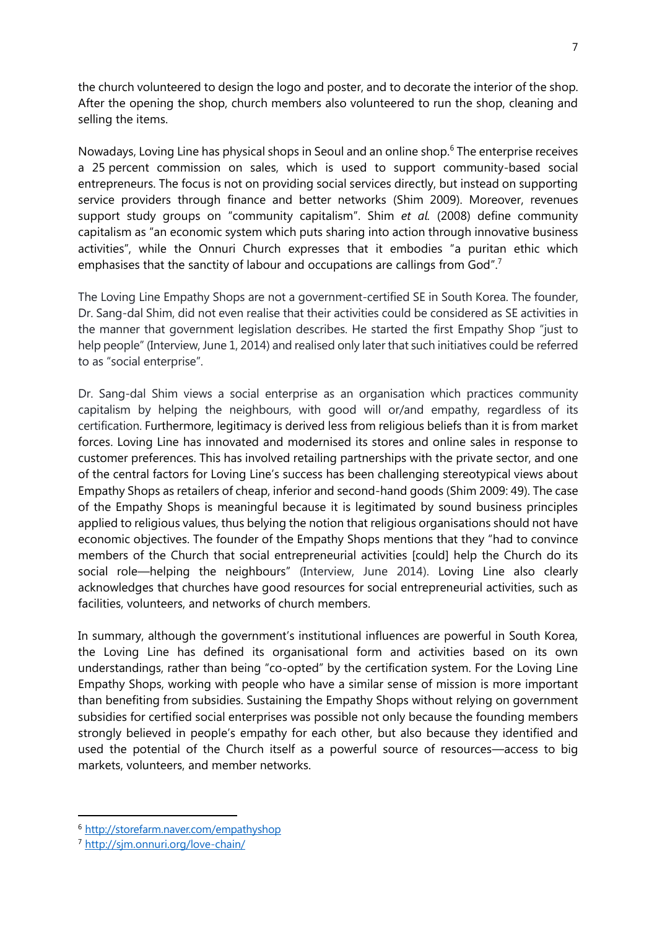the church volunteered to design the logo and poster, and to decorate the interior of the shop. After the opening the shop, church members also volunteered to run the shop, cleaning and selling the items.

Nowadays, Loving Line has physical shops in Seoul and an online shop.<sup>6</sup> The enterprise receives a 25 percent commission on sales, which is used to support community-based social entrepreneurs. The focus is not on providing social services directly, but instead on supporting service providers through finance and better networks (Shim 2009). Moreover, revenues support study groups on "community capitalism". Shim *et al.* (2008) define community capitalism as "an economic system which puts sharing into action through innovative business activities", while the Onnuri Church expresses that it embodies "a puritan ethic which emphasises that the sanctity of labour and occupations are callings from God".<sup>7</sup>

The Loving Line Empathy Shops are not a government-certified SE in South Korea. The founder, Dr. Sang-dal Shim, did not even realise that their activities could be considered as SE activities in the manner that government legislation describes. He started the first Empathy Shop "just to help people" (Interview, June 1, 2014) and realised only later that such initiatives could be referred to as "social enterprise".

Dr. Sang-dal Shim views a social enterprise as an organisation which practices community capitalism by helping the neighbours, with good will or/and empathy, regardless of its certification. Furthermore, legitimacy is derived less from religious beliefs than it is from market forces. Loving Line has innovated and modernised its stores and online sales in response to customer preferences. This has involved retailing partnerships with the private sector, and one of the central factors for Loving Line's success has been challenging stereotypical views about Empathy Shops as retailers of cheap, inferior and second-hand goods (Shim 2009: 49). The case of the Empathy Shops is meaningful because it is legitimated by sound business principles applied to religious values, thus belying the notion that religious organisations should not have economic objectives. The founder of the Empathy Shops mentions that they "had to convince members of the Church that social entrepreneurial activities [could] help the Church do its social role—helping the neighbours" (Interview, June 2014). Loving Line also clearly acknowledges that churches have good resources for social entrepreneurial activities, such as facilities, volunteers, and networks of church members.

In summary, although the government's institutional influences are powerful in South Korea, the Loving Line has defined its organisational form and activities based on its own understandings, rather than being "co-opted" by the certification system. For the Loving Line Empathy Shops, working with people who have a similar sense of mission is more important than benefiting from subsidies. Sustaining the Empathy Shops without relying on government subsidies for certified social enterprises was possible not only because the founding members strongly believed in people's empathy for each other, but also because they identified and used the potential of the Church itself as a powerful source of resources—access to big markets, volunteers, and member networks.

<sup>6</sup> <http://storefarm.naver.com/empathyshop>

<sup>7</sup> <http://sjm.onnuri.org/love-chain/>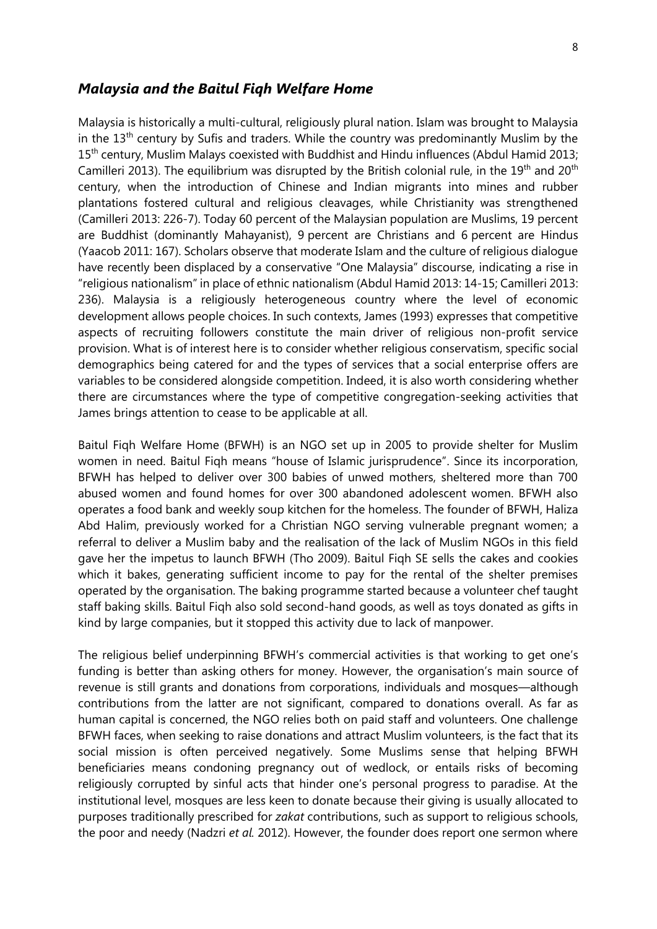#### <span id="page-7-0"></span>*Malaysia and the Baitul Fiqh Welfare Home*

Malaysia is historically a multi-cultural, religiously plural nation. Islam was brought to Malaysia in the  $13<sup>th</sup>$  century by Sufis and traders. While the country was predominantly Muslim by the 15<sup>th</sup> century, Muslim Malays coexisted with Buddhist and Hindu influences (Abdul Hamid 2013; Camilleri 2013). The equilibrium was disrupted by the British colonial rule, in the 19<sup>th</sup> and 20<sup>th</sup> century, when the introduction of Chinese and Indian migrants into mines and rubber plantations fostered cultural and religious cleavages, while Christianity was strengthened (Camilleri 2013: 226-7). Today 60 percent of the Malaysian population are Muslims, 19 percent are Buddhist (dominantly Mahayanist), 9 percent are Christians and 6 percent are Hindus (Yaacob 2011: 167). Scholars observe that moderate Islam and the culture of religious dialogue have recently been displaced by a conservative "One Malaysia" discourse, indicating a rise in "religious nationalism" in place of ethnic nationalism (Abdul Hamid 2013: 14-15; Camilleri 2013: 236). Malaysia is a religiously heterogeneous country where the level of economic development allows people choices. In such contexts, James (1993) expresses that competitive aspects of recruiting followers constitute the main driver of religious non-profit service provision. What is of interest here is to consider whether religious conservatism, specific social demographics being catered for and the types of services that a social enterprise offers are variables to be considered alongside competition. Indeed, it is also worth considering whether there are circumstances where the type of competitive congregation-seeking activities that James brings attention to cease to be applicable at all.

Baitul Fiqh Welfare Home (BFWH) is an NGO set up in 2005 to provide shelter for Muslim women in need. Baitul Fiqh means "house of Islamic jurisprudence". Since its incorporation, BFWH has helped to deliver over 300 babies of unwed mothers, sheltered more than 700 abused women and found homes for over 300 abandoned adolescent women. BFWH also operates a food bank and weekly soup kitchen for the homeless. The founder of BFWH, Haliza Abd Halim, previously worked for a Christian NGO serving vulnerable pregnant women; a referral to deliver a Muslim baby and the realisation of the lack of Muslim NGOs in this field gave her the impetus to launch BFWH (Tho 2009). Baitul Fiqh SE sells the cakes and cookies which it bakes, generating sufficient income to pay for the rental of the shelter premises operated by the organisation. The baking programme started because a volunteer chef taught staff baking skills. Baitul Fiqh also sold second-hand goods, as well as toys donated as gifts in kind by large companies, but it stopped this activity due to lack of manpower.

The religious belief underpinning BFWH's commercial activities is that working to get one's funding is better than asking others for money. However, the organisation's main source of revenue is still grants and donations from corporations, individuals and mosques—although contributions from the latter are not significant, compared to donations overall. As far as human capital is concerned, the NGO relies both on paid staff and volunteers. One challenge BFWH faces, when seeking to raise donations and attract Muslim volunteers, is the fact that its social mission is often perceived negatively. Some Muslims sense that helping BFWH beneficiaries means condoning pregnancy out of wedlock, or entails risks of becoming religiously corrupted by sinful acts that hinder one's personal progress to paradise. At the institutional level, mosques are less keen to donate because their giving is usually allocated to purposes traditionally prescribed for *zakat* contributions, such as support to religious schools, the poor and needy (Nadzri *et al.* 2012). However, the founder does report one sermon where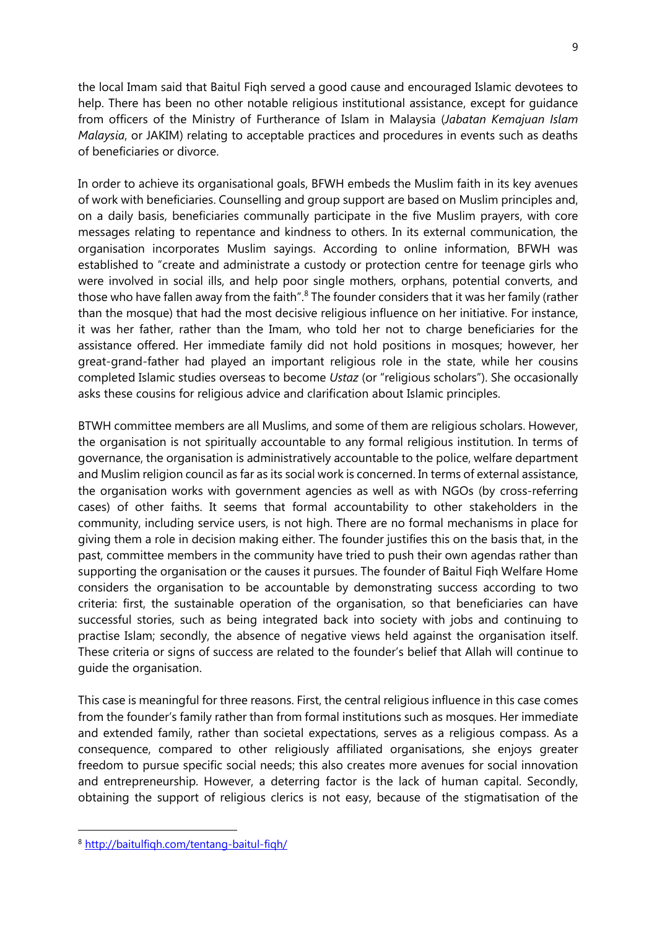the local Imam said that Baitul Fiqh served a good cause and encouraged Islamic devotees to help. There has been no other notable religious institutional assistance, except for guidance from officers of the Ministry of Furtherance of Islam in Malaysia (*Jabatan Kemajuan Islam Malaysia*, or JAKIM) relating to acceptable practices and procedures in events such as deaths of beneficiaries or divorce.

In order to achieve its organisational goals, BFWH embeds the Muslim faith in its key avenues of work with beneficiaries. Counselling and group support are based on Muslim principles and, on a daily basis, beneficiaries communally participate in the five Muslim prayers, with core messages relating to repentance and kindness to others. In its external communication, the organisation incorporates Muslim sayings. According to online information, BFWH was established to "create and administrate a custody or protection centre for teenage girls who were involved in social ills, and help poor single mothers, orphans, potential converts, and those who have fallen away from the faith".<sup>8</sup> The founder considers that it was her family (rather than the mosque) that had the most decisive religious influence on her initiative. For instance, it was her father, rather than the Imam, who told her not to charge beneficiaries for the assistance offered. Her immediate family did not hold positions in mosques; however, her great-grand-father had played an important religious role in the state, while her cousins completed Islamic studies overseas to become *Ustaz* (or "religious scholars"). She occasionally asks these cousins for religious advice and clarification about Islamic principles.

BTWH committee members are all Muslims, and some of them are religious scholars. However, the organisation is not spiritually accountable to any formal religious institution. In terms of governance, the organisation is administratively accountable to the police, welfare department and Muslim religion council as far as its social work is concerned. In terms of external assistance, the organisation works with government agencies as well as with NGOs (by cross-referring cases) of other faiths. It seems that formal accountability to other stakeholders in the community, including service users, is not high. There are no formal mechanisms in place for giving them a role in decision making either. The founder justifies this on the basis that, in the past, committee members in the community have tried to push their own agendas rather than supporting the organisation or the causes it pursues. The founder of Baitul Fiqh Welfare Home considers the organisation to be accountable by demonstrating success according to two criteria: first, the sustainable operation of the organisation, so that beneficiaries can have successful stories, such as being integrated back into society with jobs and continuing to practise Islam; secondly, the absence of negative views held against the organisation itself. These criteria or signs of success are related to the founder's belief that Allah will continue to guide the organisation.

This case is meaningful for three reasons. First, the central religious influence in this case comes from the founder's family rather than from formal institutions such as mosques. Her immediate and extended family, rather than societal expectations, serves as a religious compass. As a consequence, compared to other religiously affiliated organisations, she enjoys greater freedom to pursue specific social needs; this also creates more avenues for social innovation and entrepreneurship. However, a deterring factor is the lack of human capital. Secondly, obtaining the support of religious clerics is not easy, because of the stigmatisation of the

<sup>8</sup> <http://baitulfiqh.com/tentang-baitul-fiqh/>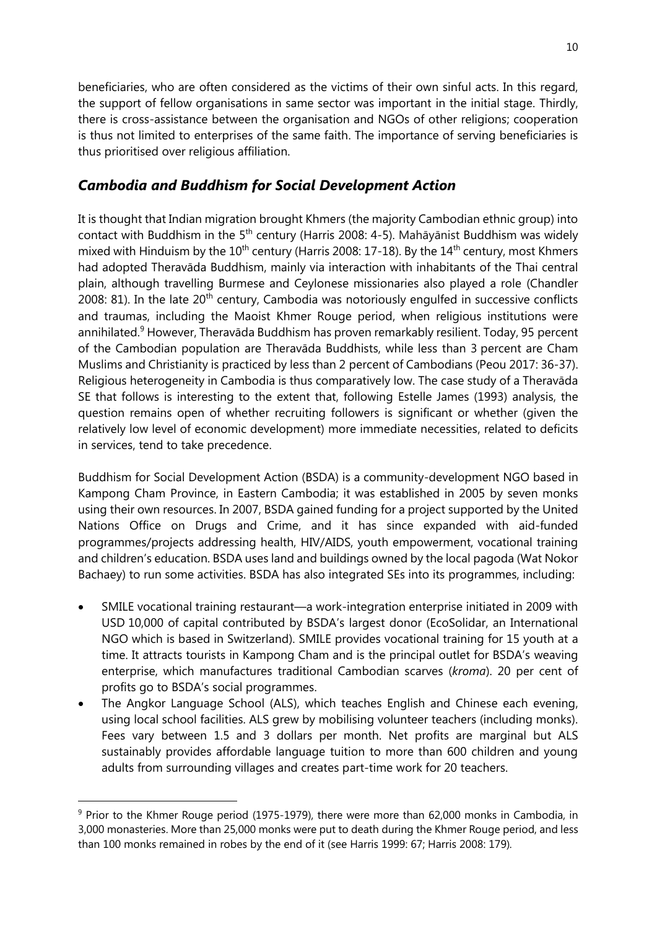beneficiaries, who are often considered as the victims of their own sinful acts. In this regard, the support of fellow organisations in same sector was important in the initial stage. Thirdly, there is cross-assistance between the organisation and NGOs of other religions; cooperation is thus not limited to enterprises of the same faith. The importance of serving beneficiaries is thus prioritised over religious affiliation.

### <span id="page-9-0"></span>*Cambodia and Buddhism for Social Development Action*

It is thought that Indian migration brought Khmers (the majority Cambodian ethnic group) into contact with Buddhism in the  $5<sup>th</sup>$  century (Harris 2008: 4-5). Mahāyānist Buddhism was widely mixed with Hinduism by the  $10^{th}$  century (Harris 2008: 17-18). By the  $14^{th}$  century, most Khmers had adopted Theravāda Buddhism, mainly via interaction with inhabitants of the Thai central plain, although travelling Burmese and Ceylonese missionaries also played a role (Chandler 2008: 81). In the late  $20<sup>th</sup>$  century, Cambodia was notoriously engulfed in successive conflicts and traumas, including the Maoist Khmer Rouge period, when religious institutions were annihilated.<sup>9</sup> However, Theravāda Buddhism has proven remarkably resilient. Today, 95 percent of the Cambodian population are Theravāda Buddhists, while less than 3 percent are Cham Muslims and Christianity is practiced by less than 2 percent of Cambodians (Peou 2017: 36-37). Religious heterogeneity in Cambodia is thus comparatively low. The case study of a Theravāda SE that follows is interesting to the extent that, following Estelle James (1993) analysis, the question remains open of whether recruiting followers is significant or whether (given the relatively low level of economic development) more immediate necessities, related to deficits in services, tend to take precedence.

Buddhism for Social Development Action (BSDA) is a community-development NGO based in Kampong Cham Province, in Eastern Cambodia; it was established in 2005 by seven monks using their own resources. In 2007, BSDA gained funding for a project supported by the United Nations Office on Drugs and Crime, and it has since expanded with aid-funded programmes/projects addressing health, HIV/AIDS, youth empowerment, vocational training and children's education. BSDA uses land and buildings owned by the local pagoda (Wat Nokor Bachaey) to run some activities. BSDA has also integrated SEs into its programmes, including:

- SMILE vocational training restaurant—a work-integration enterprise initiated in 2009 with USD 10,000 of capital contributed by BSDA's largest donor (EcoSolidar, an International NGO which is based in Switzerland). SMILE provides vocational training for 15 youth at a time. It attracts tourists in Kampong Cham and is the principal outlet for BSDA's weaving enterprise, which manufactures traditional Cambodian scarves (*kroma*). 20 per cent of profits go to BSDA's social programmes.
- The Angkor Language School (ALS), which teaches English and Chinese each evening, using local school facilities. ALS grew by mobilising volunteer teachers (including monks). Fees vary between 1.5 and 3 dollars per month. Net profits are marginal but ALS sustainably provides affordable language tuition to more than 600 children and young adults from surrounding villages and creates part-time work for 20 teachers.

<sup>&</sup>lt;sup>9</sup> Prior to the Khmer Rouge period (1975-1979), there were more than 62,000 monks in Cambodia, in 3,000 monasteries. More than 25,000 monks were put to death during the Khmer Rouge period, and less than 100 monks remained in robes by the end of it (see Harris 1999: 67; Harris 2008: 179)*.*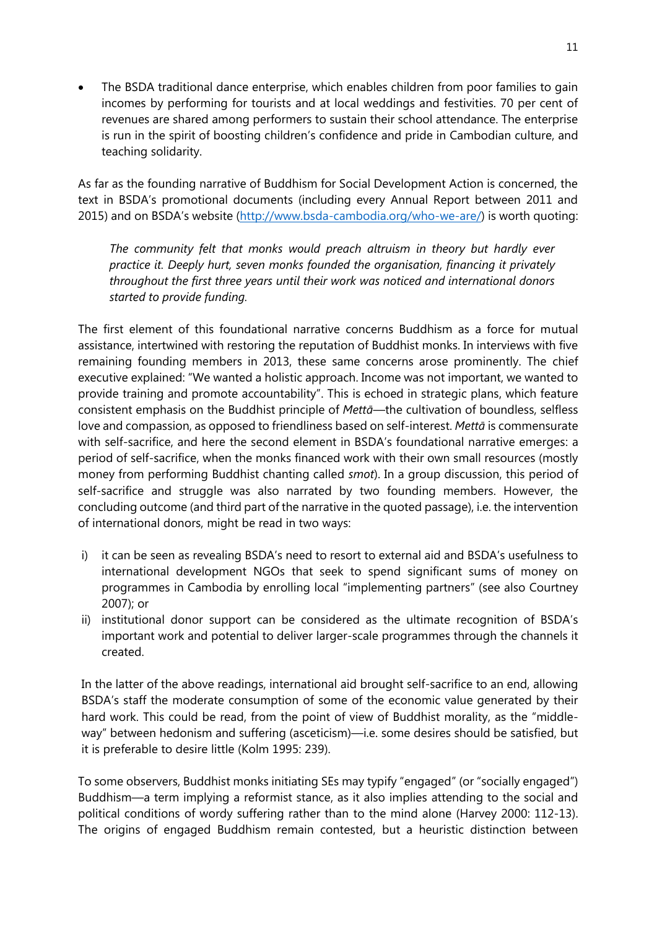• The BSDA traditional dance enterprise, which enables children from poor families to gain incomes by performing for tourists and at local weddings and festivities. 70 per cent of revenues are shared among performers to sustain their school attendance. The enterprise is run in the spirit of boosting children's confidence and pride in Cambodian culture, and teaching solidarity.

As far as the founding narrative of Buddhism for Social Development Action is concerned, the text in BSDA's promotional documents (including every Annual Report between 2011 and 2015) and on BSDA's website ([http://www.bsda-cambodia.org/who-we-are/\)](http://www.bsda-cambodia.org/who-we-are/) is worth quoting:

*The community felt that monks would preach altruism in theory but hardly ever practice it. Deeply hurt, seven monks founded the organisation, financing it privately throughout the first three years until their work was noticed and international donors started to provide funding.*

The first element of this foundational narrative concerns Buddhism as a force for mutual assistance, intertwined with restoring the reputation of Buddhist monks. In interviews with five remaining founding members in 2013, these same concerns arose prominently. The chief executive explained: "We wanted a holistic approach. Income was not important, we wanted to provide training and promote accountability". This is echoed in strategic plans, which feature consistent emphasis on the Buddhist principle of *Mettā*—the cultivation of boundless, selfless love and compassion, as opposed to friendliness based on self-interest. *Mettā* is commensurate with self-sacrifice, and here the second element in BSDA's foundational narrative emerges: a period of self-sacrifice, when the monks financed work with their own small resources (mostly money from performing Buddhist chanting called *smot*). In a group discussion, this period of self-sacrifice and struggle was also narrated by two founding members. However, the concluding outcome (and third part of the narrative in the quoted passage), i.e. the intervention of international donors, might be read in two ways:

- i) it can be seen as revealing BSDA's need to resort to external aid and BSDA's usefulness to international development NGOs that seek to spend significant sums of money on programmes in Cambodia by enrolling local "implementing partners" (see also Courtney 2007); or
- ii) institutional donor support can be considered as the ultimate recognition of BSDA's important work and potential to deliver larger-scale programmes through the channels it created.

In the latter of the above readings, international aid brought self-sacrifice to an end, allowing BSDA's staff the moderate consumption of some of the economic value generated by their hard work. This could be read, from the point of view of Buddhist morality, as the "middleway" between hedonism and suffering (asceticism)—i.e. some desires should be satisfied, but it is preferable to desire little (Kolm 1995: 239).

To some observers, Buddhist monks initiating SEs may typify "engaged" (or "socially engaged") Buddhism—a term implying a reformist stance, as it also implies attending to the social and political conditions of wordy suffering rather than to the mind alone (Harvey 2000: 112-13). The origins of engaged Buddhism remain contested, but a heuristic distinction between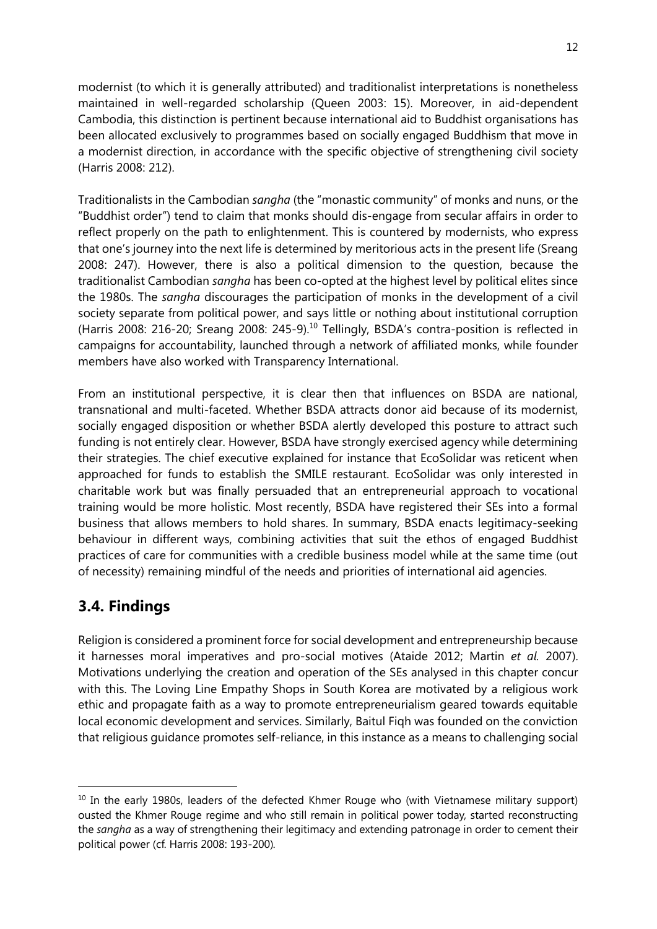modernist (to which it is generally attributed) and traditionalist interpretations is nonetheless maintained in well-regarded scholarship (Queen 2003: 15). Moreover, in aid-dependent Cambodia, this distinction is pertinent because international aid to Buddhist organisations has been allocated exclusively to programmes based on socially engaged Buddhism that move in a modernist direction, in accordance with the specific objective of strengthening civil society (Harris 2008: 212).

Traditionalists in the Cambodian *sangha* (the "monastic community" of monks and nuns, or the "Buddhist order") tend to claim that monks should dis-engage from secular affairs in order to reflect properly on the path to enlightenment. This is countered by modernists, who express that one's journey into the next life is determined by meritorious acts in the present life (Sreang 2008: 247). However, there is also a political dimension to the question, because the traditionalist Cambodian *sangha* has been co-opted at the highest level by political elites since the 1980s. The *sangha* discourages the participation of monks in the development of a civil society separate from political power, and says little or nothing about institutional corruption (Harris 2008: 216-20; Sreang 2008: 245-9).<sup>10</sup> Tellingly, BSDA's contra-position is reflected in campaigns for accountability, launched through a network of affiliated monks, while founder members have also worked with Transparency International.

From an institutional perspective, it is clear then that influences on BSDA are national, transnational and multi-faceted. Whether BSDA attracts donor aid because of its modernist, socially engaged disposition or whether BSDA alertly developed this posture to attract such funding is not entirely clear. However, BSDA have strongly exercised agency while determining their strategies. The chief executive explained for instance that EcoSolidar was reticent when approached for funds to establish the SMILE restaurant. EcoSolidar was only interested in charitable work but was finally persuaded that an entrepreneurial approach to vocational training would be more holistic. Most recently, BSDA have registered their SEs into a formal business that allows members to hold shares. In summary, BSDA enacts legitimacy-seeking behaviour in different ways, combining activities that suit the ethos of engaged Buddhist practices of care for communities with a credible business model while at the same time (out of necessity) remaining mindful of the needs and priorities of international aid agencies.

## <span id="page-11-0"></span>**3.4. Findings**

Religion is considered a prominent force for social development and entrepreneurship because it harnesses moral imperatives and pro-social motives (Ataide 2012; Martin *et al.* 2007). Motivations underlying the creation and operation of the SEs analysed in this chapter concur with this. The Loving Line Empathy Shops in South Korea are motivated by a religious work ethic and propagate faith as a way to promote entrepreneurialism geared towards equitable local economic development and services. Similarly, Baitul Fiqh was founded on the conviction that religious guidance promotes self-reliance, in this instance as a means to challenging social

<sup>&</sup>lt;sup>10</sup> In the early 1980s, leaders of the defected Khmer Rouge who (with Vietnamese military support) ousted the Khmer Rouge regime and who still remain in political power today, started reconstructing the *sangha* as a way of strengthening their legitimacy and extending patronage in order to cement their political power (cf. Harris 2008: 193-200)*.*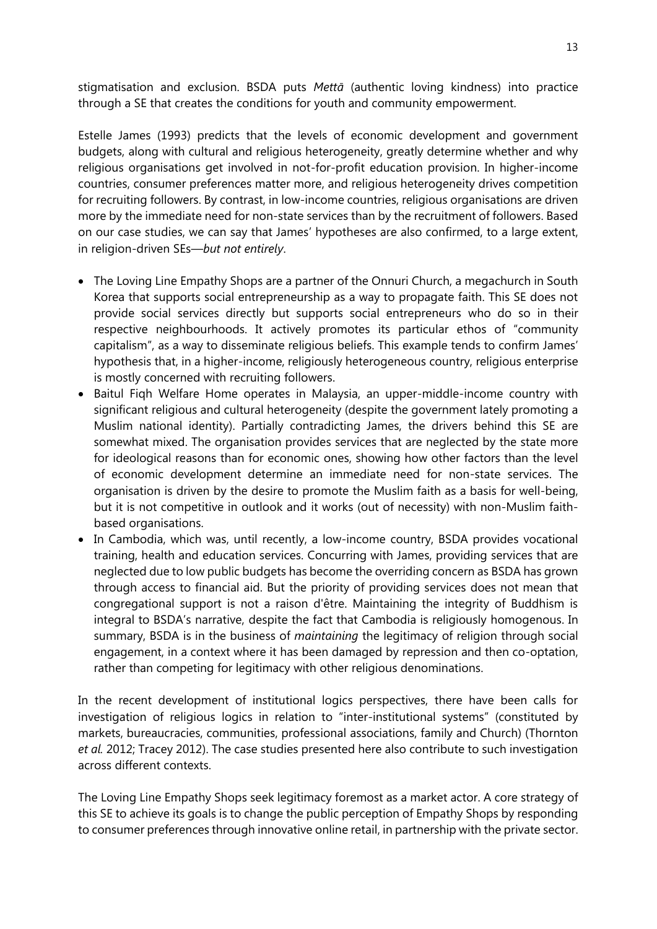stigmatisation and exclusion. BSDA puts *Mettā* (authentic loving kindness) into practice through a SE that creates the conditions for youth and community empowerment.

Estelle James (1993) predicts that the levels of economic development and government budgets, along with cultural and religious heterogeneity, greatly determine whether and why religious organisations get involved in not-for-profit education provision. In higher-income countries, consumer preferences matter more, and religious heterogeneity drives competition for recruiting followers. By contrast, in low-income countries, religious organisations are driven more by the immediate need for non-state services than by the recruitment of followers. Based on our case studies, we can say that James' hypotheses are also confirmed, to a large extent, in religion-driven SEs—*but not entirely*.

- The Loving Line Empathy Shops are a partner of the Onnuri Church, a megachurch in South Korea that supports social entrepreneurship as a way to propagate faith. This SE does not provide social services directly but supports social entrepreneurs who do so in their respective neighbourhoods. It actively promotes its particular ethos of "community capitalism", as a way to disseminate religious beliefs. This example tends to confirm James' hypothesis that, in a higher-income, religiously heterogeneous country, religious enterprise is mostly concerned with recruiting followers.
- Baitul Fiqh Welfare Home operates in Malaysia, an upper-middle-income country with significant religious and cultural heterogeneity (despite the government lately promoting a Muslim national identity). Partially contradicting James, the drivers behind this SE are somewhat mixed. The organisation provides services that are neglected by the state more for ideological reasons than for economic ones, showing how other factors than the level of economic development determine an immediate need for non-state services. The organisation is driven by the desire to promote the Muslim faith as a basis for well-being, but it is not competitive in outlook and it works (out of necessity) with non-Muslim faithbased organisations.
- In Cambodia, which was, until recently, a low-income country, BSDA provides vocational training, health and education services. Concurring with James, providing services that are neglected due to low public budgets has become the overriding concern as BSDA has grown through access to financial aid. But the priority of providing services does not mean that congregational support is not a raison d'être. Maintaining the integrity of Buddhism is integral to BSDA's narrative, despite the fact that Cambodia is religiously homogenous. In summary, BSDA is in the business of *maintaining* the legitimacy of religion through social engagement, in a context where it has been damaged by repression and then co-optation, rather than competing for legitimacy with other religious denominations.

In the recent development of institutional logics perspectives, there have been calls for investigation of religious logics in relation to "inter-institutional systems" (constituted by markets, bureaucracies, communities, professional associations, family and Church) (Thornton *et al.* 2012; Tracey 2012). The case studies presented here also contribute to such investigation across different contexts.

The Loving Line Empathy Shops seek legitimacy foremost as a market actor. A core strategy of this SE to achieve its goals is to change the public perception of Empathy Shops by responding to consumer preferences through innovative online retail, in partnership with the private sector.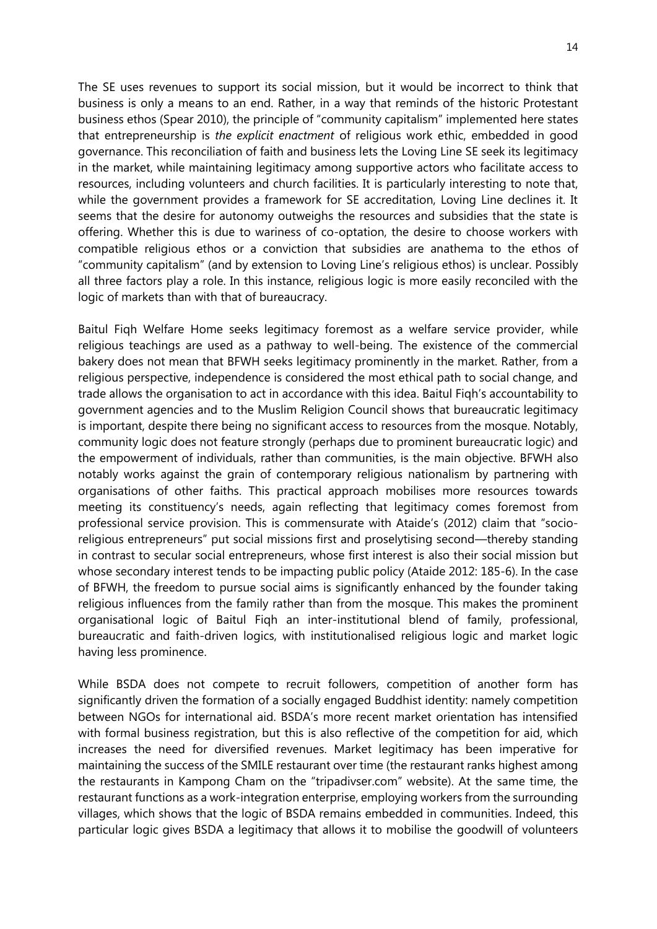The SE uses revenues to support its social mission, but it would be incorrect to think that business is only a means to an end. Rather, in a way that reminds of the historic Protestant business ethos (Spear 2010), the principle of "community capitalism" implemented here states that entrepreneurship is *the explicit enactment* of religious work ethic, embedded in good governance. This reconciliation of faith and business lets the Loving Line SE seek its legitimacy in the market, while maintaining legitimacy among supportive actors who facilitate access to resources, including volunteers and church facilities. It is particularly interesting to note that, while the government provides a framework for SE accreditation, Loving Line declines it. It seems that the desire for autonomy outweighs the resources and subsidies that the state is offering. Whether this is due to wariness of co-optation, the desire to choose workers with compatible religious ethos or a conviction that subsidies are anathema to the ethos of "community capitalism" (and by extension to Loving Line's religious ethos) is unclear. Possibly all three factors play a role. In this instance, religious logic is more easily reconciled with the logic of markets than with that of bureaucracy.

Baitul Fiqh Welfare Home seeks legitimacy foremost as a welfare service provider, while religious teachings are used as a pathway to well-being. The existence of the commercial bakery does not mean that BFWH seeks legitimacy prominently in the market. Rather, from a religious perspective, independence is considered the most ethical path to social change, and trade allows the organisation to act in accordance with this idea. Baitul Fiqh's accountability to government agencies and to the Muslim Religion Council shows that bureaucratic legitimacy is important, despite there being no significant access to resources from the mosque. Notably, community logic does not feature strongly (perhaps due to prominent bureaucratic logic) and the empowerment of individuals, rather than communities, is the main objective. BFWH also notably works against the grain of contemporary religious nationalism by partnering with organisations of other faiths. This practical approach mobilises more resources towards meeting its constituency's needs, again reflecting that legitimacy comes foremost from professional service provision. This is commensurate with Ataide's (2012) claim that "socioreligious entrepreneurs" put social missions first and proselytising second—thereby standing in contrast to secular social entrepreneurs, whose first interest is also their social mission but whose secondary interest tends to be impacting public policy (Ataide 2012: 185-6). In the case of BFWH, the freedom to pursue social aims is significantly enhanced by the founder taking religious influences from the family rather than from the mosque. This makes the prominent organisational logic of Baitul Fiqh an inter-institutional blend of family, professional, bureaucratic and faith-driven logics, with institutionalised religious logic and market logic having less prominence.

While BSDA does not compete to recruit followers, competition of another form has significantly driven the formation of a socially engaged Buddhist identity: namely competition between NGOs for international aid. BSDA's more recent market orientation has intensified with formal business registration, but this is also reflective of the competition for aid, which increases the need for diversified revenues. Market legitimacy has been imperative for maintaining the success of the SMILE restaurant over time (the restaurant ranks highest among the restaurants in Kampong Cham on the "tripadivser.com" website). At the same time, the restaurant functions as a work-integration enterprise, employing workers from the surrounding villages, which shows that the logic of BSDA remains embedded in communities. Indeed, this particular logic gives BSDA a legitimacy that allows it to mobilise the goodwill of volunteers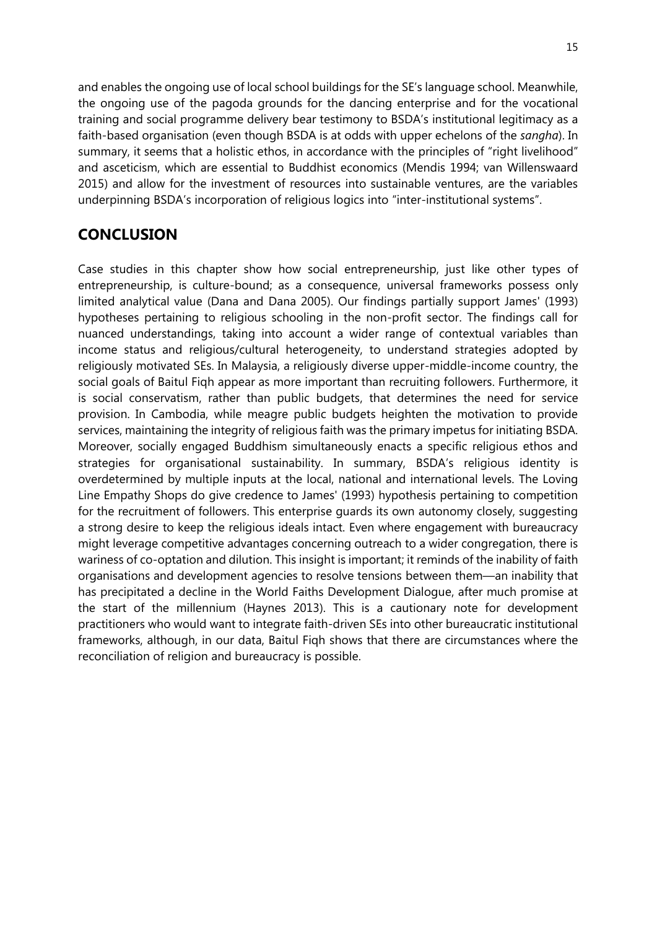and enables the ongoing use of local school buildings for the SE's language school. Meanwhile, the ongoing use of the pagoda grounds for the dancing enterprise and for the vocational training and social programme delivery bear testimony to BSDA's institutional legitimacy as a faith-based organisation (even though BSDA is at odds with upper echelons of the *sangha*). In summary, it seems that a holistic ethos, in accordance with the principles of "right livelihood" and asceticism, which are essential to Buddhist economics (Mendis 1994; van Willenswaard 2015) and allow for the investment of resources into sustainable ventures, are the variables underpinning BSDA's incorporation of religious logics into "inter-institutional systems".

### <span id="page-14-0"></span>**CONCLUSION**

Case studies in this chapter show how social entrepreneurship, just like other types of entrepreneurship, is culture-bound; as a consequence, universal frameworks possess only limited analytical value (Dana and Dana 2005). Our findings partially support James' (1993) hypotheses pertaining to religious schooling in the non-profit sector. The findings call for nuanced understandings, taking into account a wider range of contextual variables than income status and religious/cultural heterogeneity, to understand strategies adopted by religiously motivated SEs. In Malaysia, a religiously diverse upper-middle-income country, the social goals of Baitul Fiqh appear as more important than recruiting followers. Furthermore, it is social conservatism, rather than public budgets, that determines the need for service provision. In Cambodia, while meagre public budgets heighten the motivation to provide services, maintaining the integrity of religious faith was the primary impetus for initiating BSDA. Moreover, socially engaged Buddhism simultaneously enacts a specific religious ethos and strategies for organisational sustainability. In summary, BSDA's religious identity is overdetermined by multiple inputs at the local, national and international levels. The Loving Line Empathy Shops do give credence to James' (1993) hypothesis pertaining to competition for the recruitment of followers. This enterprise guards its own autonomy closely, suggesting a strong desire to keep the religious ideals intact. Even where engagement with bureaucracy might leverage competitive advantages concerning outreach to a wider congregation, there is wariness of co-optation and dilution. This insight is important; it reminds of the inability of faith organisations and development agencies to resolve tensions between them—an inability that has precipitated a decline in the World Faiths Development Dialogue, after much promise at the start of the millennium (Haynes 2013). This is a cautionary note for development practitioners who would want to integrate faith-driven SEs into other bureaucratic institutional frameworks, although, in our data, Baitul Fiqh shows that there are circumstances where the reconciliation of religion and bureaucracy is possible.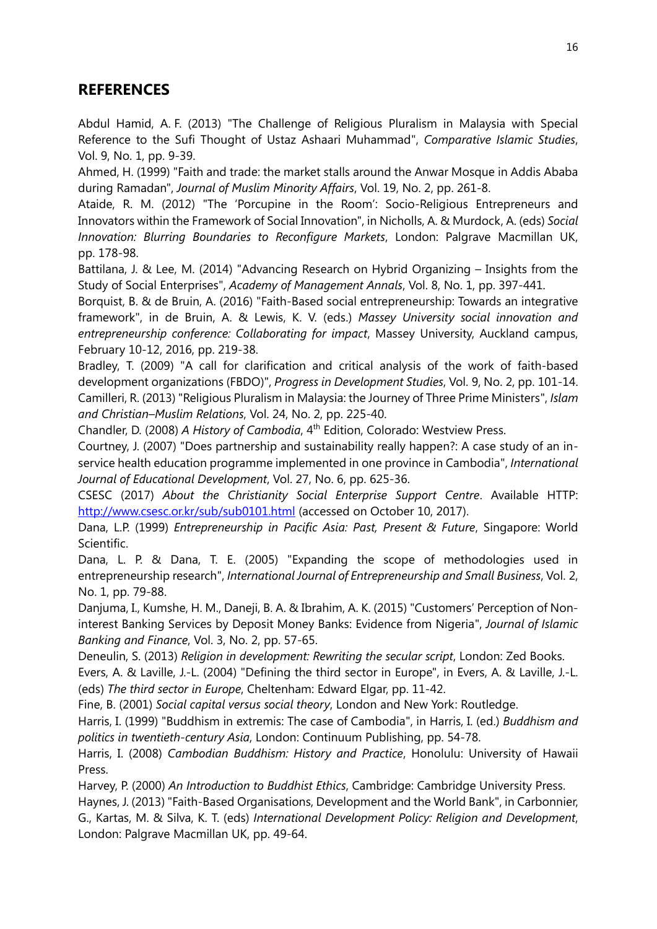### <span id="page-15-0"></span>**REFERENCES**

Abdul Hamid, A. F. (2013) "The Challenge of Religious Pluralism in Malaysia with Special Reference to the Sufi Thought of Ustaz Ashaari Muhammad", *Comparative Islamic Studies*, Vol. 9, No. 1, pp. 9-39.

Ahmed, H. (1999) "Faith and trade: the market stalls around the Anwar Mosque in Addis Ababa during Ramadan", *Journal of Muslim Minority Affairs*, Vol. 19, No. 2, pp. 261-8.

Ataide, R. M. (2012) "The 'Porcupine in the Room': Socio-Religious Entrepreneurs and Innovators within the Framework of Social Innovation", in Nicholls, A. & Murdock, A. (eds) *Social Innovation: Blurring Boundaries to Reconfigure Markets*, London: Palgrave Macmillan UK, pp. 178-98.

Battilana, J. & Lee, M. (2014) "Advancing Research on Hybrid Organizing – Insights from the Study of Social Enterprises", *Academy of Management Annals*, Vol. 8, No. 1, pp. 397-441.

Borquist, B. & de Bruin, A. (2016) "Faith-Based social entrepreneurship: Towards an integrative framework", in de Bruin, A. & Lewis, K. V. (eds.) *Massey University social innovation and entrepreneurship conference: Collaborating for impact*, Massey University, Auckland campus, February 10-12, 2016, pp. 219-38.

Bradley, T. (2009) "A call for clarification and critical analysis of the work of faith-based development organizations (FBDO)", *Progress in Development Studies*, Vol. 9, No. 2, pp. 101-14. Camilleri, R. (2013) "Religious Pluralism in Malaysia: the Journey of Three Prime Ministers", *Islam and Christian–Muslim Relations*, Vol. 24, No. 2, pp. 225-40.

Chandler, D. (2008) *A History of Cambodia*, 4 th Edition, Colorado: Westview Press.

Courtney, J. (2007) "Does partnership and sustainability really happen?: A case study of an inservice health education programme implemented in one province in Cambodia", *International Journal of Educational Development*, Vol. 27, No. 6, pp. 625-36.

CSESC (2017) *About the Christianity Social Enterprise Support Centre*. Available HTTP: <http://www.csesc.or.kr/sub/sub0101.html> (accessed on October 10, 2017).

Dana, L.P. (1999) *Entrepreneurship in Pacific Asia: Past, Present & Future*, Singapore: World Scientific.

Dana, L. P. & Dana, T. E. (2005) "Expanding the scope of methodologies used in entrepreneurship research", *International Journal of Entrepreneurship and Small Business*, Vol. 2, No. 1, pp. 79-88.

Danjuma, I., Kumshe, H. M., Daneji, B. A. & Ibrahim, A. K. (2015) "Customers' Perception of Noninterest Banking Services by Deposit Money Banks: Evidence from Nigeria", *Journal of Islamic Banking and Finance*, Vol. 3, No. 2, pp. 57-65.

Deneulin, S. (2013) *Religion in development: Rewriting the secular script*, London: Zed Books.

Evers, A. & Laville, J.-L. (2004) "Defining the third sector in Europe", in Evers, A. & Laville, J.-L. (eds) *The third sector in Europe*, Cheltenham: Edward Elgar, pp. 11-42.

Fine, B. (2001) *Social capital versus social theory*, London and New York: Routledge.

Harris, I. (1999) "Buddhism in extremis: The case of Cambodia", in Harris, I. (ed.) *Buddhism and politics in twentieth-century Asia*, London: Continuum Publishing, pp. 54-78.

Harris, I. (2008) *Cambodian Buddhism: History and Practice*, Honolulu: University of Hawaii Press.

Harvey, P. (2000) *An Introduction to Buddhist Ethics*, Cambridge: Cambridge University Press.

Haynes, J. (2013) "Faith-Based Organisations, Development and the World Bank", in Carbonnier, G., Kartas, M. & Silva, K. T. (eds) *International Development Policy: Religion and Development*, London: Palgrave Macmillan UK, pp. 49-64.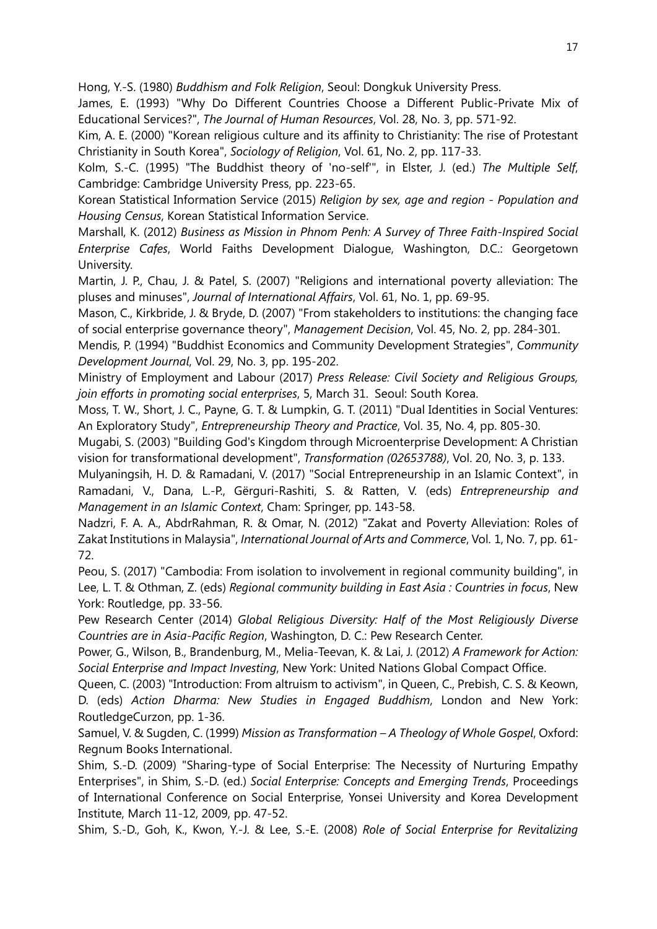Hong, Y.-S. (1980) *Buddhism and Folk Religion*, Seoul: Dongkuk University Press.

James, E. (1993) "Why Do Different Countries Choose a Different Public-Private Mix of Educational Services?", *The Journal of Human Resources*, Vol. 28, No. 3, pp. 571-92.

Kim, A. E. (2000) "Korean religious culture and its affinity to Christianity: The rise of Protestant Christianity in South Korea", *Sociology of Religion*, Vol. 61, No. 2, pp. 117-33.

Kolm, S.-C. (1995) "The Buddhist theory of 'no-self'", in Elster, J. (ed.) *The Multiple Self*, Cambridge: Cambridge University Press, pp. 223-65.

Korean Statistical Information Service (2015) *Religion by sex, age and region - Population and Housing Census*, Korean Statistical Information Service.

Marshall, K. (2012) *Business as Mission in Phnom Penh: A Survey of Three Faith-Inspired Social Enterprise Cafes*, World Faiths Development Dialogue, Washington, D.C.: Georgetown University.

Martin, J. P., Chau, J. & Patel, S. (2007) "Religions and international poverty alleviation: The pluses and minuses", *Journal of International Affairs*, Vol. 61, No. 1, pp. 69-95.

Mason, C., Kirkbride, J. & Bryde, D. (2007) "From stakeholders to institutions: the changing face of social enterprise governance theory", *Management Decision*, Vol. 45, No. 2, pp. 284-301.

Mendis, P. (1994) "Buddhist Economics and Community Development Strategies", *Community Development Journal*, Vol. 29, No. 3, pp. 195-202.

Ministry of Employment and Labour (2017) *Press Release: Civil Society and Religious Groups, join efforts in promoting social enterprises*, 5, March 31. Seoul: South Korea.

Moss, T. W., Short, J. C., Payne, G. T. & Lumpkin, G. T. (2011) "Dual Identities in Social Ventures: An Exploratory Study", *Entrepreneurship Theory and Practice*, Vol. 35, No. 4, pp. 805-30.

Mugabi, S. (2003) "Building God's Kingdom through Microenterprise Development: A Christian vision for transformational development", *Transformation (02653788)*, Vol. 20, No. 3, p. 133.

Mulyaningsih, H. D. & Ramadani, V. (2017) "Social Entrepreneurship in an Islamic Context", in Ramadani, V., Dana, L.-P., Gërguri-Rashiti, S. & Ratten, V. (eds) *Entrepreneurship and Management in an Islamic Context*, Cham: Springer, pp. 143-58.

Nadzri, F. A. A., AbdrRahman, R. & Omar, N. (2012) "Zakat and Poverty Alleviation: Roles of Zakat Institutions in Malaysia", *International Journal of Arts and Commerce*, Vol. 1, No. 7, pp. 61- 72.

Peou, S. (2017) "Cambodia: From isolation to involvement in regional community building", in Lee, L. T. & Othman, Z. (eds) *Regional community building in East Asia : Countries in focus*, New York: Routledge, pp. 33-56.

Pew Research Center (2014) *Global Religious Diversity: Half of the Most Religiously Diverse Countries are in Asia-Pacific Region*, Washington, D. C.: Pew Research Center.

Power, G., Wilson, B., Brandenburg, M., Melia-Teevan, K. & Lai, J. (2012) *A Framework for Action: Social Enterprise and Impact Investing*, New York: United Nations Global Compact Office.

Queen, C. (2003) "Introduction: From altruism to activism", in Queen, C., Prebish, C. S. & Keown, D. (eds) *Action Dharma: New Studies in Engaged Buddhism*, London and New York: RoutledgeCurzon, pp. 1-36.

Samuel, V. & Sugden, C. (1999) *Mission as Transformation – A Theology of Whole Gospel*, Oxford: Regnum Books International.

Shim, S.-D. (2009) "Sharing-type of Social Enterprise: The Necessity of Nurturing Empathy Enterprises", in Shim, S.-D. (ed.) *Social Enterprise: Concepts and Emerging Trends*, Proceedings of International Conference on Social Enterprise, Yonsei University and Korea Development Institute, March 11-12, 2009, pp. 47-52.

Shim, S.-D., Goh, K., Kwon, Y.-J. & Lee, S.-E. (2008) *Role of Social Enterprise for Revitalizing*